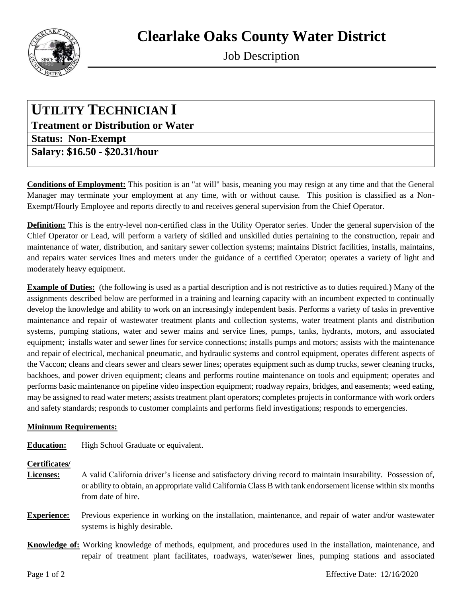

Job Description

## **UTILITY TECHNICIAN I**

**Treatment or Distribution or Water Status: Non-Exempt Salary: \$16.50 - \$20.31/hour**

**Conditions of Employment:** This position is an "at will" basis, meaning you may resign at any time and that the General Manager may terminate your employment at any time, with or without cause. This position is classified as a Non-Exempt/Hourly Employee and reports directly to and receives general supervision from the Chief Operator.

**Definition:** This is the entry-level non-certified class in the Utility Operator series. Under the general supervision of the Chief Operator or Lead, will perform a variety of skilled and unskilled duties pertaining to the construction, repair and maintenance of water, distribution, and sanitary sewer collection systems; maintains District facilities, installs, maintains, and repairs water services lines and meters under the guidance of a certified Operator; operates a variety of light and moderately heavy equipment.

**Example of Duties:** (the following is used as a partial description and is not restrictive as to duties required.) Many of the assignments described below are performed in a training and learning capacity with an incumbent expected to continually develop the knowledge and ability to work on an increasingly independent basis. Performs a variety of tasks in preventive maintenance and repair of wastewater treatment plants and collection systems, water treatment plants and distribution systems, pumping stations, water and sewer mains and service lines, pumps, tanks, hydrants, motors, and associated equipment; installs water and sewer lines for service connections; installs pumps and motors; assists with the maintenance and repair of electrical, mechanical pneumatic, and hydraulic systems and control equipment, operates different aspects of the Vaccon; cleans and clears sewer and clears sewer lines; operates equipment such as dump trucks, sewer cleaning trucks, backhoes, and power driven equipment; cleans and performs routine maintenance on tools and equipment; operates and performs basic maintenance on pipeline video inspection equipment; roadway repairs, bridges, and easements; weed eating, may be assigned to read water meters; assists treatment plant operators; completes projects in conformance with work orders and safety standards; responds to customer complaints and performs field investigations; responds to emergencies.

## **Minimum Requirements:**

**Education:** High School Graduate or equivalent.

## **Certificates/**

- **Licenses:** A valid California driver's license and satisfactory driving record to maintain insurability. Possession of, or ability to obtain, an appropriate valid California Class B with tank endorsement license within six months from date of hire.
- **Experience:** Previous experience in working on the installation, maintenance, and repair of water and/or wastewater systems is highly desirable.
- **Knowledge of:** Working knowledge of methods, equipment, and procedures used in the installation, maintenance, and repair of treatment plant facilitates, roadways, water/sewer lines, pumping stations and associated